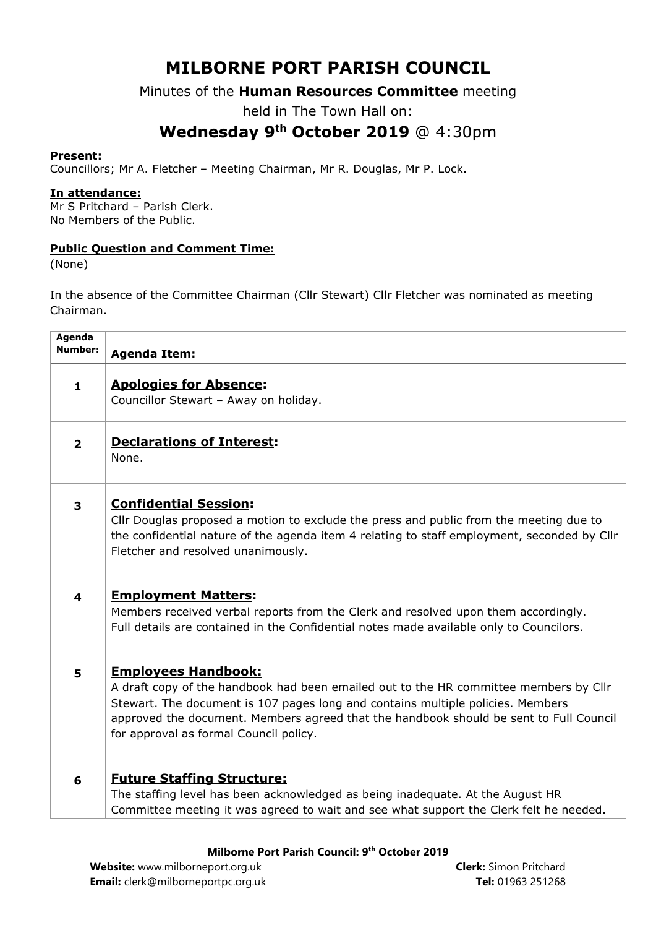# **MILBORNE PORT PARISH COUNCIL**

### Minutes of the **Human Resources Committee** meeting

held in The Town Hall on:

## **Wednesday 9th October 2019** @ 4:30pm

#### **Present:**

Councillors; Mr A. Fletcher – Meeting Chairman, Mr R. Douglas, Mr P. Lock.

#### **In attendance:**

Mr S Pritchard – Parish Clerk. No Members of the Public.

#### **Public Question and Comment Time:**

(None)

In the absence of the Committee Chairman (Cllr Stewart) Cllr Fletcher was nominated as meeting Chairman.

| <b>Agenda</b><br>Number: | <b>Agenda Item:</b>                                                                                                                                                                                                                                                                                                                        |
|--------------------------|--------------------------------------------------------------------------------------------------------------------------------------------------------------------------------------------------------------------------------------------------------------------------------------------------------------------------------------------|
| $\mathbf{1}$             | <b>Apologies for Absence:</b><br>Councillor Stewart - Away on holiday.                                                                                                                                                                                                                                                                     |
| $\overline{2}$           | <b>Declarations of Interest:</b><br>None.                                                                                                                                                                                                                                                                                                  |
| $\overline{\mathbf{3}}$  | <b>Confidential Session:</b><br>Cllr Douglas proposed a motion to exclude the press and public from the meeting due to<br>the confidential nature of the agenda item 4 relating to staff employment, seconded by Cllr<br>Fletcher and resolved unanimously.                                                                                |
| $\overline{\mathbf{4}}$  | <b>Employment Matters:</b><br>Members received verbal reports from the Clerk and resolved upon them accordingly.<br>Full details are contained in the Confidential notes made available only to Councilors.                                                                                                                                |
| 5                        | <b>Employees Handbook:</b><br>A draft copy of the handbook had been emailed out to the HR committee members by Cllr<br>Stewart. The document is 107 pages long and contains multiple policies. Members<br>approved the document. Members agreed that the handbook should be sent to Full Council<br>for approval as formal Council policy. |
| 6                        | <b>Future Staffing Structure:</b><br>The staffing level has been acknowledged as being inadequate. At the August HR<br>Committee meeting it was agreed to wait and see what support the Clerk felt he needed.                                                                                                                              |

#### **Milborne Port Parish Council: 9th October 2019**